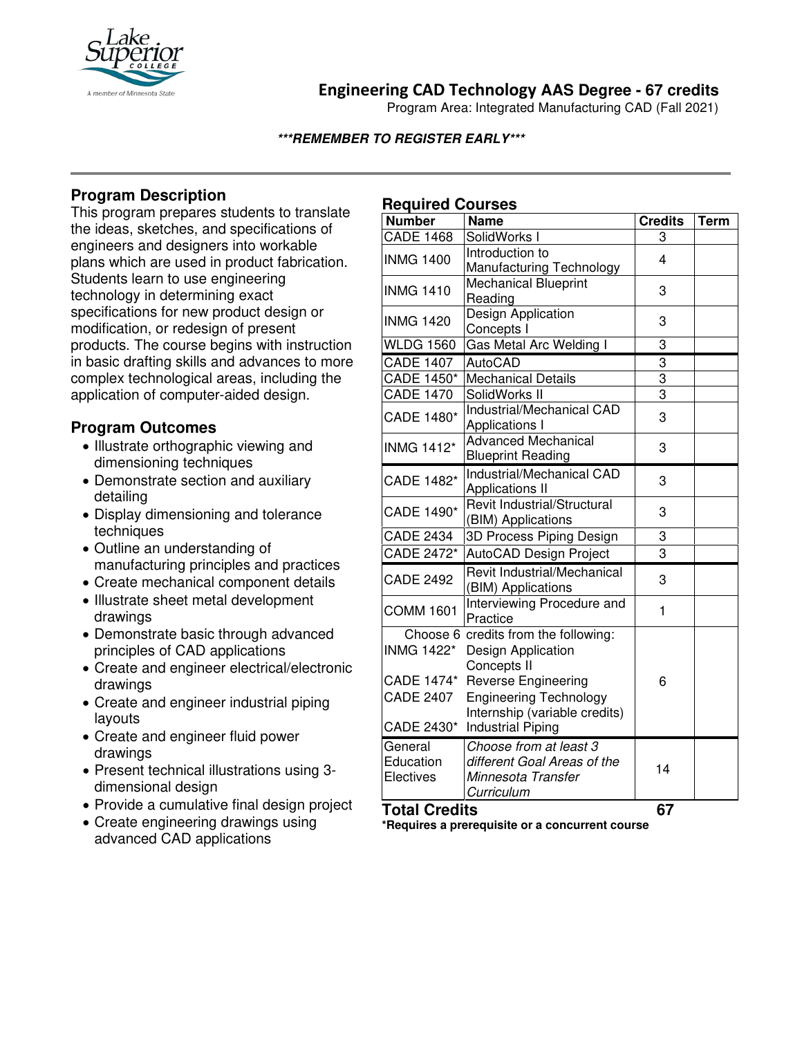

# **Engineering CAD Technology AAS Degree - 67 credits**

Program Area: Integrated Manufacturing CAD (Fall 2021)

### **\*\*\*REMEMBER TO REGISTER EARLY\*\*\***

# **Program Description**

This program prepares students to translate the ideas, sketches, and specifications of engineers and designers into workable plans which are used in product fabrication. Students learn to use engineering technology in determining exact specifications for new product design or modification, or redesign of present products. The course begins with instruction in basic drafting skills and advances to more complex technological areas, including the application of computer-aided design.

## **Program Outcomes**

- Illustrate orthographic viewing and dimensioning techniques
- Demonstrate section and auxiliary detailing
- Display dimensioning and tolerance techniques
- Outline an understanding of manufacturing principles and practices
- Create mechanical component details
- Illustrate sheet metal development drawings
- Demonstrate basic through advanced principles of CAD applications
- Create and engineer electrical/electronic drawings
- Create and engineer industrial piping layouts
- Create and engineer fluid power drawings
- Present technical illustrations using 3 dimensional design
- Provide a cumulative final design project
- Create engineering drawings using advanced CAD applications

# **Required Courses**

| $-$                  |                                      |                |             |
|----------------------|--------------------------------------|----------------|-------------|
| <b>Number</b>        | <b>Name</b>                          | <b>Credits</b> | <b>Term</b> |
| <b>CADE 1468</b>     | SolidWorks I                         | 3              |             |
| <b>INMG 1400</b>     | Introduction to                      | 4              |             |
|                      | Manufacturing Technology             |                |             |
| <b>INMG 1410</b>     | <b>Mechanical Blueprint</b>          | 3              |             |
|                      | Reading                              |                |             |
| <b>INMG 1420</b>     | <b>Design Application</b>            | 3              |             |
|                      | Concepts I                           |                |             |
| <b>WLDG 1560</b>     | Gas Metal Arc Welding I              | 3              |             |
| <b>CADE 1407</b>     | <b>AutoCAD</b>                       | $\overline{3}$ |             |
| <b>CADE 1450*</b>    | <b>Mechanical Details</b>            | 3              |             |
| <b>CADE 1470</b>     | SolidWorks II                        | $\overline{3}$ |             |
| CADE 1480*           | Industrial/Mechanical CAD            | 3              |             |
|                      | <b>Applications I</b>                |                |             |
| <b>INMG 1412*</b>    | <b>Advanced Mechanical</b>           | 3              |             |
|                      | <b>Blueprint Reading</b>             |                |             |
| CADE 1482*           | Industrial/Mechanical CAD            | 3              |             |
|                      | <b>Applications II</b>               |                |             |
| CADE 1490*           | Revit Industrial/Structural          | 3              |             |
|                      | (BIM) Applications                   |                |             |
| <b>CADE 2434</b>     | 3D Process Piping Design             | 3              |             |
| CADE 2472*           | AutoCAD Design Project               | 3              |             |
| <b>CADE 2492</b>     | Revit Industrial/Mechanical          |                |             |
|                      | (BIM) Applications                   | 3              |             |
| <b>COMM 1601</b>     | Interviewing Procedure and           | 1              |             |
|                      | Practice                             |                |             |
|                      | Choose 6 credits from the following: |                |             |
| <b>INMG 1422*</b>    | Design Application                   |                |             |
|                      | Concepts II                          |                |             |
|                      | CADE 1474* Reverse Engineering       | 6              |             |
| <b>CADE 2407</b>     | <b>Engineering Technology</b>        |                |             |
|                      | Internship (variable credits)        |                |             |
|                      | CADE 2430* Industrial Piping         |                |             |
| General              | Choose from at least 3               |                |             |
| Education            | different Goal Areas of the          | 14             |             |
| Electives            | Minnesota Transfer                   |                |             |
|                      | Curriculum                           |                |             |
| <b>Total Credits</b> |                                      | 67             |             |

**\*Requires a prerequisite or a concurrent course**